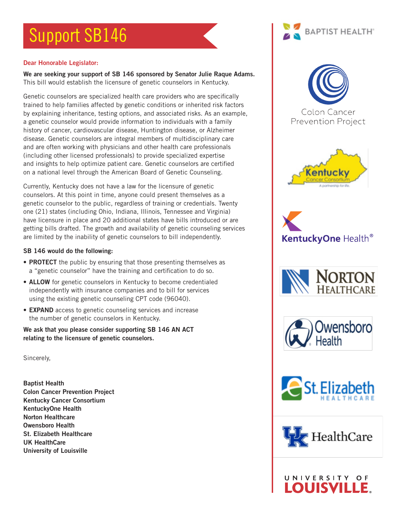# Support SB146

### Dear Honorable Legislator:

We are seeking your support of SB 146 sponsored by Senator Julie Raque Adams. This bill would establish the licensure of genetic counselors in Kentucky.

Genetic counselors are specialized health care providers who are specifically trained to help families affected by genetic conditions or inherited risk factors by explaining inheritance, testing options, and associated risks. As an example, a genetic counselor would provide information to individuals with a family history of cancer, cardiovascular disease, Huntington disease, or Alzheimer disease. Genetic counselors are integral members of multidisciplinary care and are often working with physicians and other health care professionals (including other licensed professionals) to provide specialized expertise and insights to help optimize patient care. Genetic counselors are certified on a national level through the American Board of Genetic Counseling.

Currently, Kentucky does not have a law for the licensure of genetic counselors. At this point in time, anyone could present themselves as a genetic counselor to the public, regardless of training or credentials. Twenty one (21) states (including Ohio, Indiana, Illinois, Tennessee and Virginia) have licensure in place and 20 additional states have bills introduced or are getting bills drafted. The growth and availability of genetic counseling services are limited by the inability of genetic counselors to bill independently.

#### SB 146 would do the following:

- **PROTECT** the public by ensuring that those presenting themselves as a "genetic counselor" have the training and certification to do so.
- ALLOW for genetic counselors in Kentucky to become credentialed independently with insurance companies and to bill for services using the existing genetic counseling CPT code (96040).
- EXPAND access to genetic counseling services and increase the number of genetic counselors in Kentucky.

We ask that you please consider supporting SB 146 AN ACT relating to the licensure of genetic counselors.

Sincerely,

Baptist Health Colon Cancer Prevention Project Kentucky Cancer Consortium KentuckyOne Health Norton Healthcare Owensboro Health St. Elizabeth Healthcare UK HealthCare University of Louisville

















UNIVERSITY OF **OUISVILL**